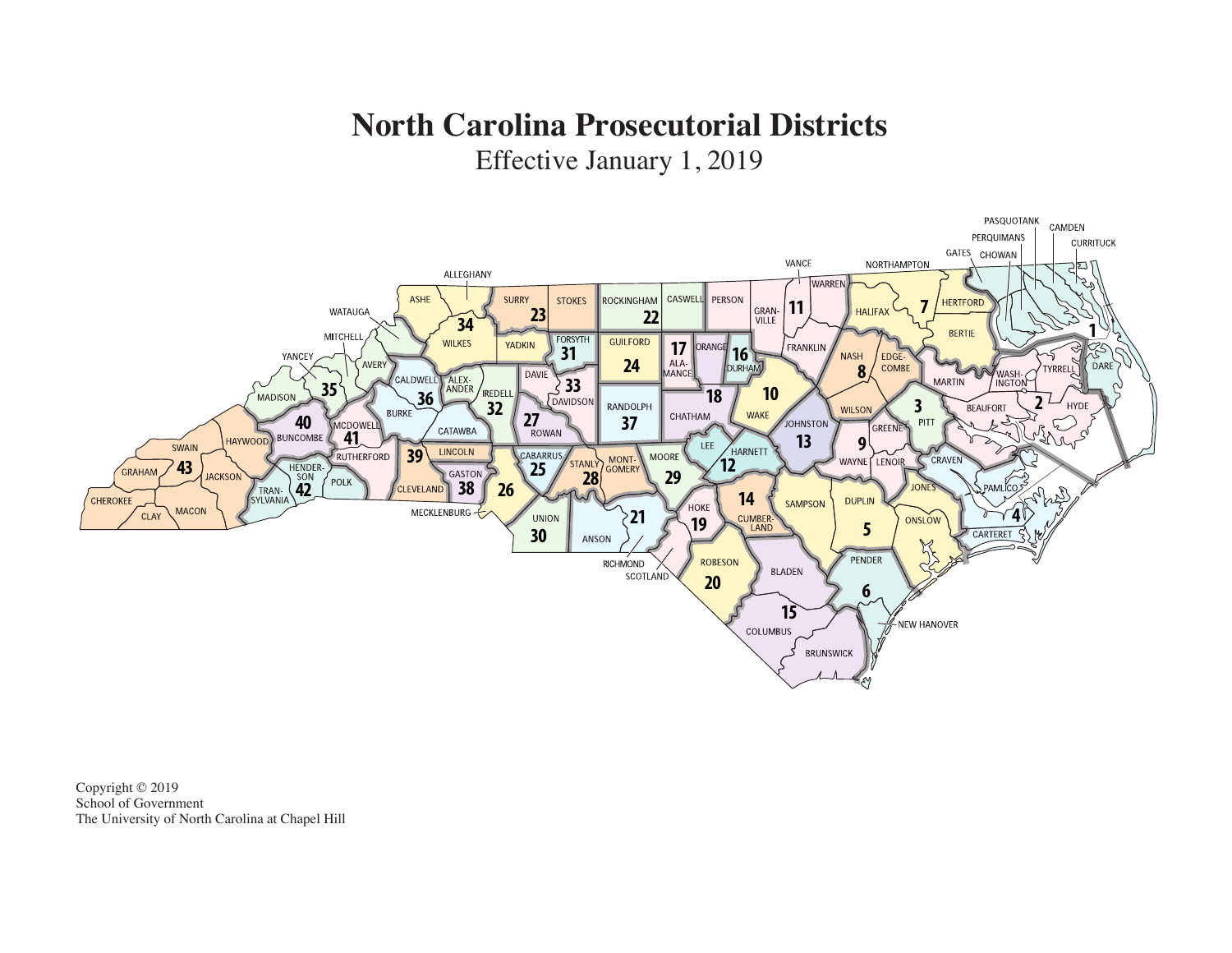## **North Carolina Prosecutorial Districts**

Effective January 1, 2019



Copyright © 2019 School of Government The University of North Carolina at Chapel Hill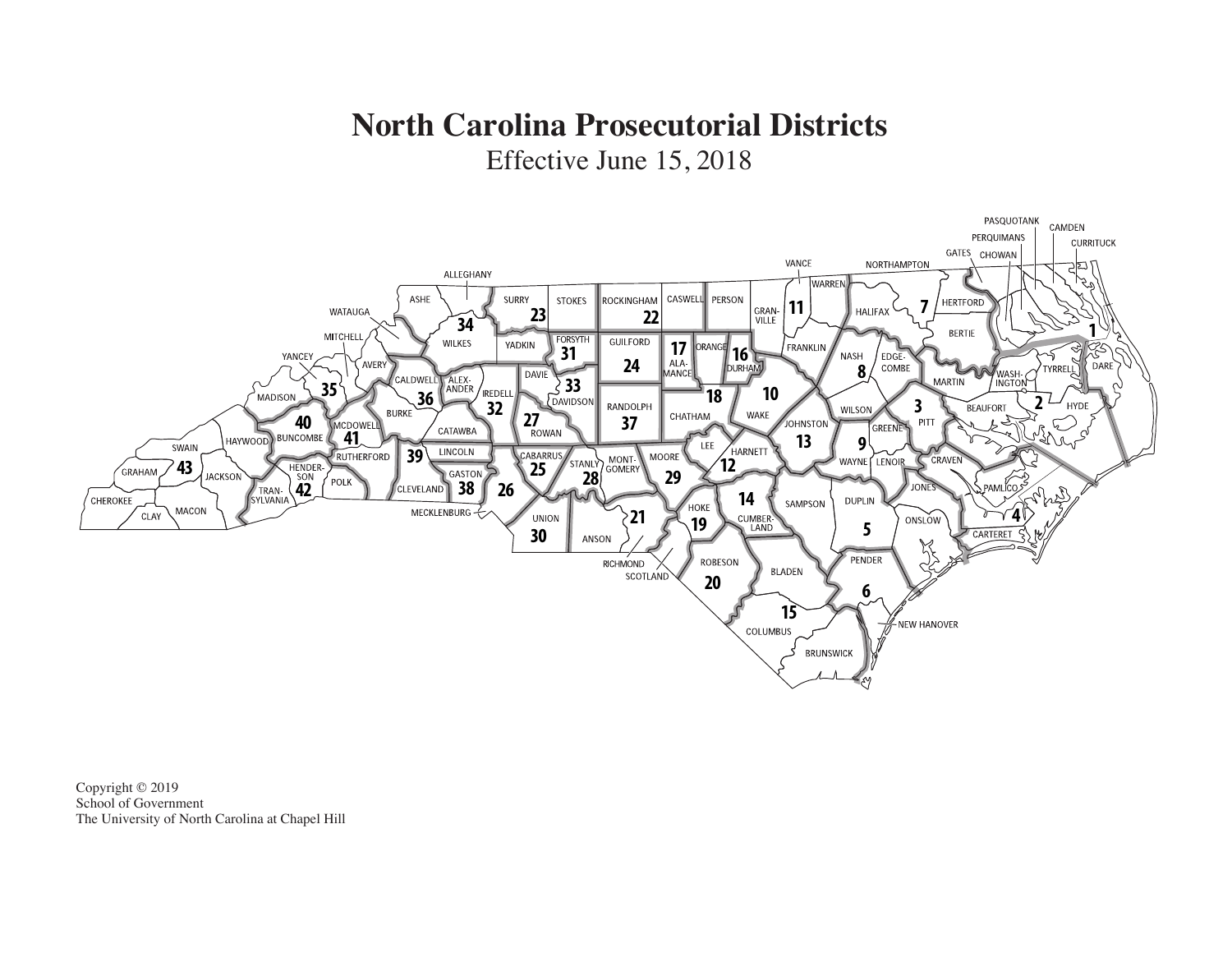## **North Carolina Prosecutorial Districts**

Effective June 15, 2018



Copyright © 2019 School of Government The University of North Carolina at Chapel Hill